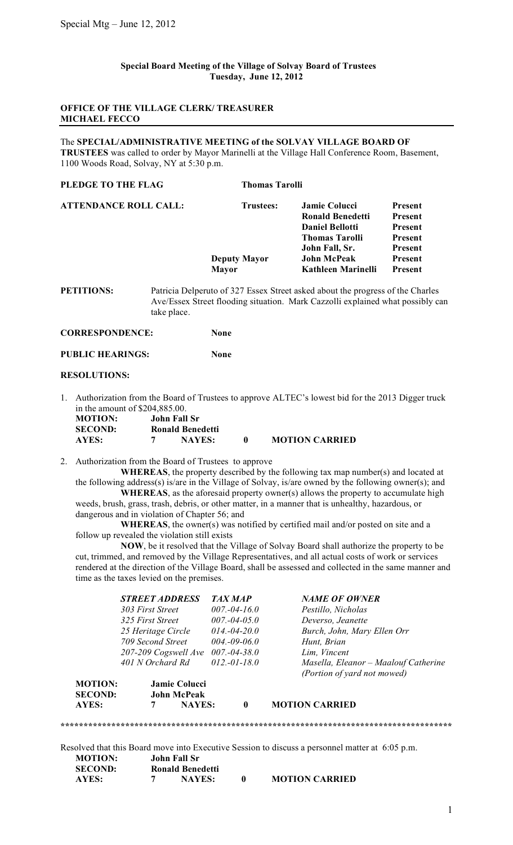## **Special Board Meeting of the Village of Solvay Board of Trustees Tuesday, June 12, 2012**

# **OFFICE OF THE VILLAGE CLERK/ TREASURER MICHAEL FECCO**

### The **SPECIAL/ADMINISTRATIVE MEETING of the SOLVAY VILLAGE BOARD OF**

**TRUSTEES** was called to order by Mayor Marinelli at the Village Hall Conference Room, Basement, 1100 Woods Road, Solvay, NY at 5:30 p.m.

| PLEDGE TO THE FLAG           | <b>Thomas Tarolli</b> |                                                                            |                |
|------------------------------|-----------------------|----------------------------------------------------------------------------|----------------|
| <b>ATTENDANCE ROLL CALL:</b> | <b>Trustees:</b>      | <b>Jamie Colucci</b>                                                       | Present        |
|                              |                       | <b>Ronald Benedetti</b>                                                    | Present        |
|                              |                       | <b>Daniel Bellotti</b>                                                     | Present        |
|                              |                       | <b>Thomas Tarolli</b>                                                      | Present        |
|                              |                       | John Fall, Sr.                                                             | Present        |
|                              | <b>Deputy Mayor</b>   | <b>John McPeak</b>                                                         | Present        |
|                              | <b>Mayor</b>          | Kathleen Marinelli                                                         | <b>Present</b> |
| <b>PETITIONS</b>             |                       | Patricia Delperuto of 327 Essex Street asked about the progress of the Cha |                |

of 327 Essex Street asked about the progress of the Charles Ave/Essex Street flooding situation. Mark Cazzolli explained what possibly can take place.

**CORRESPONDENCE: None**

**PUBLIC HEARINGS: None**

#### **RESOLUTIONS:**

1. Authorization from the Board of Trustees to approve ALTEC's lowest bid for the 2013 Digger truck in the amount of \$204,885.00.

| <b>MOTION:</b> | John Fall Sr |                         |                       |
|----------------|--------------|-------------------------|-----------------------|
| <b>SECOND:</b> |              | <b>Ronald Benedetti</b> |                       |
| AYES:          |              | <b>NAYES:</b>           | <b>MOTION CARRIED</b> |

2. Authorization from the Board of Trustees to approve

**WHEREAS**, the property described by the following tax map number(s) and located at the following address(s) is/are in the Village of Solvay, is/are owned by the following owner(s); and

**WHEREAS**, as the aforesaid property owner(s) allows the property to accumulate high weeds, brush, grass, trash, debris, or other matter, in a manner that is unhealthy, hazardous, or dangerous and in violation of Chapter 56; and

**WHEREAS**, the owner(s) was notified by certified mail and/or posted on site and a follow up revealed the violation still exists

**NOW**, be it resolved that the Village of Solvay Board shall authorize the property to be cut, trimmed, and removed by the Village Representatives, and all actual costs of work or services rendered at the direction of the Village Board, shall be assessed and collected in the same manner and time as the taxes levied on the premises.

|                | <b>STREET ADDRESS</b> |                      | <b>TAX MAP</b> |                   | <b>NAME OF OWNER</b>                 |
|----------------|-----------------------|----------------------|----------------|-------------------|--------------------------------------|
|                | 303 First Street      |                      |                | $007.-04-16.0$    | Pestillo, Nicholas                   |
|                | 325 First Street      |                      |                | $007.-04-05.0$    | Deverso, Jeanette                    |
|                | 25 Heritage Circle    |                      |                | $014,-04-20.0$    | Burch, John, Mary Ellen Orr          |
|                | 709 Second Street     |                      |                | $004.-09-06.0$    | Hunt, Brian                          |
|                | 207-209 Cogswell Ave  |                      |                | $007 - 04 - 38.0$ | Lim, Vincent                         |
|                | 401 N Orchard Rd      |                      |                | $012,-01-18.0$    | Masella, Eleanor - Maalouf Catherine |
|                |                       |                      |                |                   | (Portion of yard not mowed)          |
| <b>MOTION:</b> |                       | <b>Jamie Colucci</b> |                |                   |                                      |
| <b>SECOND:</b> |                       | <b>John McPeak</b>   |                |                   |                                      |
| AYES:          | 7                     | <b>NAYES:</b>        |                | $\mathbf{0}$      | <b>MOTION CARRIED</b>                |

Resolved that this Board move into Executive Session to discuss a personnel matter at 6:05 p.m. **MOTION: SIVed that we - 1.<br>
<b>SECOND: Ronald Benedetti**<br> **SECOND: Ronald Benedetti** 

| SECUND: | Rohaid Dellegetti |               |  |                       |
|---------|-------------------|---------------|--|-----------------------|
| AYES:   |                   | <b>NAYES:</b> |  | <b>MOTION CARRIED</b> |